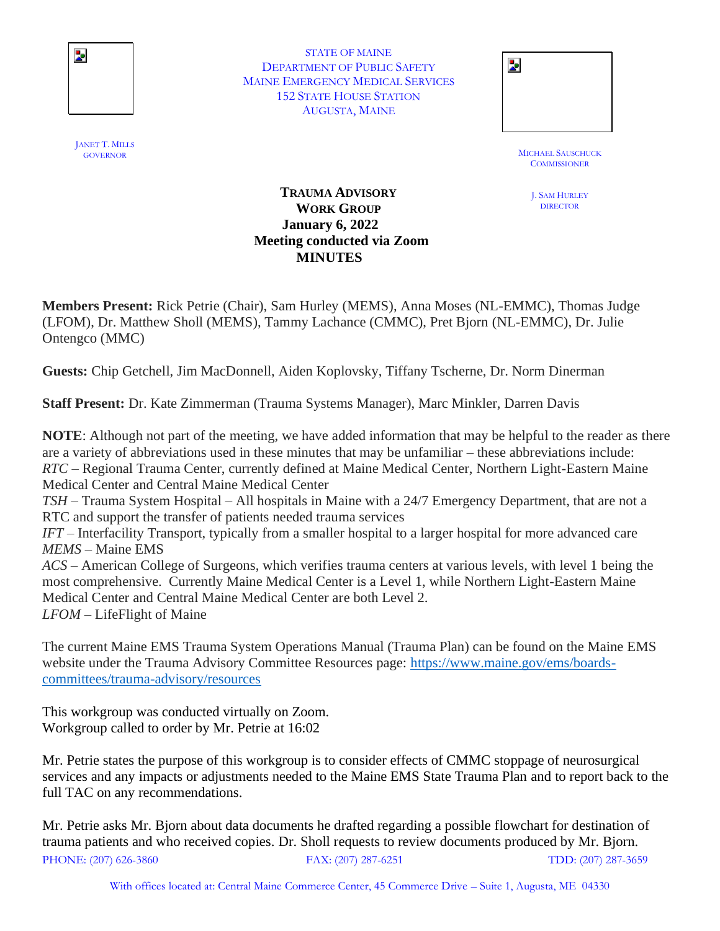

STATE OF MAINE DEPARTMENT OF PUBLIC SAFETY MAINE EMERGENCY MEDICAL SERVICES 152 STATE HOUSE STATION AUGUSTA, MAINE

| STATE OF MAINE                   |  |
|----------------------------------|--|
| TMENT OF PUBLIC SAFETY           |  |
| <b>IERGENCY MEDICAL SERVICES</b> |  |
| <b>STATE HOUSE STATION</b>       |  |
| AUGUSTA, MAINE                   |  |
|                                  |  |

MICHAEL SAUSCHUCK **COMMISSIONER** 

> J. SAM HURLEY **DIRECTOR**

## **TRAUMA ADVISORY WORK GROUP January 6, 2022 Meeting conducted via Zoom MINUTES**

**Members Present:** Rick Petrie (Chair), Sam Hurley (MEMS), Anna Moses (NL-EMMC), Thomas Judge (LFOM), Dr. Matthew Sholl (MEMS), Tammy Lachance (CMMC), Pret Bjorn (NL-EMMC), Dr. Julie Ontengco (MMC)

**Guests:** Chip Getchell, Jim MacDonnell, Aiden Koplovsky, Tiffany Tscherne, Dr. Norm Dinerman

**Staff Present:** Dr. Kate Zimmerman (Trauma Systems Manager), Marc Minkler, Darren Davis

**NOTE**: Although not part of the meeting, we have added information that may be helpful to the reader as there are a variety of abbreviations used in these minutes that may be unfamiliar – these abbreviations include: *RTC* – Regional Trauma Center, currently defined at Maine Medical Center, Northern Light-Eastern Maine Medical Center and Central Maine Medical Center *TSH* – Trauma System Hospital – All hospitals in Maine with a 24/7 Emergency Department, that are not a RTC and support the transfer of patients needed trauma services *IFT* – Interfacility Transport, typically from a smaller hospital to a larger hospital for more advanced care *MEMS* – Maine EMS *ACS* – American College of Surgeons, which verifies trauma centers at various levels, with level 1 being the most comprehensive. Currently Maine Medical Center is a Level 1, while Northern Light-Eastern Maine

Medical Center and Central Maine Medical Center are both Level 2.

*LFOM* – LifeFlight of Maine

The current Maine EMS Trauma System Operations Manual (Trauma Plan) can be found on the Maine EMS website under the Trauma Advisory Committee Resources page: [https://www.maine.gov/ems/boards](https://www.maine.gov/ems/boards-committees/trauma-advisory/resources)[committees/trauma-advisory/resources](https://www.maine.gov/ems/boards-committees/trauma-advisory/resources)

This workgroup was conducted virtually on Zoom. Workgroup called to order by Mr. Petrie at 16:02

Mr. Petrie states the purpose of this workgroup is to consider effects of CMMC stoppage of neurosurgical services and any impacts or adjustments needed to the Maine EMS State Trauma Plan and to report back to the full TAC on any recommendations.

PHONE: (207) 626-3860 FAX: (207) 287-6251 TDD: (207) 287-3659 Mr. Petrie asks Mr. Bjorn about data documents he drafted regarding a possible flowchart for destination of trauma patients and who received copies. Dr. Sholl requests to review documents produced by Mr. Bjorn.

With offices located at: Central Maine Commerce Center, 45 Commerce Drive – Suite 1, Augusta, ME 04330

JANET T. MILLS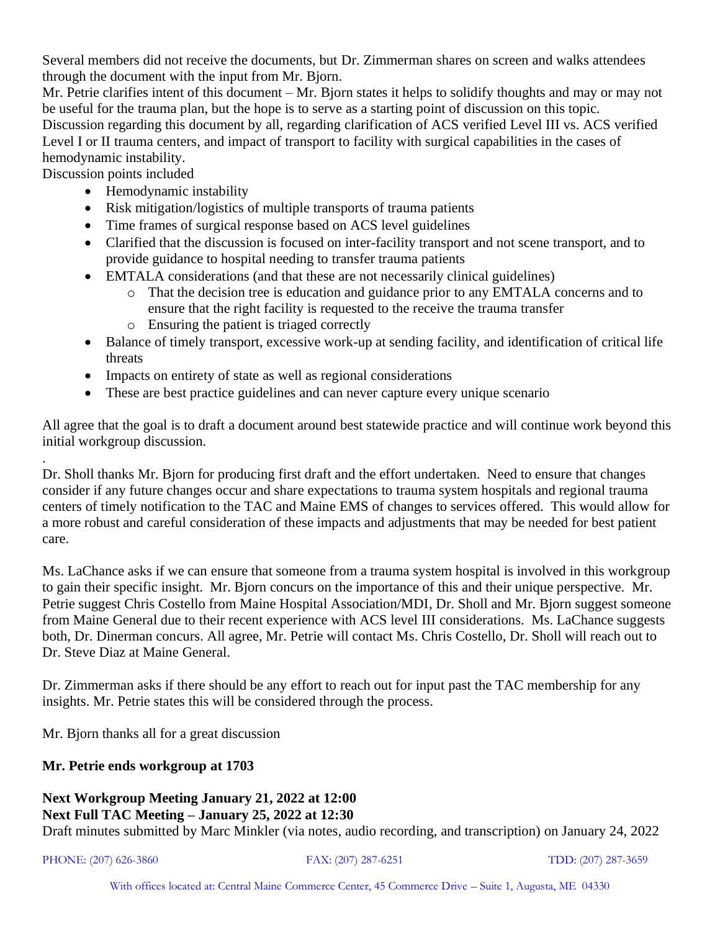Several members did not receive the documents, but Dr. Zimmerman shares on screen and walks attendees through the document with the input from Mr. Bjorn.

Mr. Petrie clarifies intent of this document – Mr. Bjorn states it helps to solidify thoughts and may or may not be useful for the trauma plan, but the hope is to serve as a starting point of discussion on this topic. Discussion regarding this document by all, regarding clarification of ACS verified Level III vs. ACS verified Level I or II trauma centers, and impact of transport to facility with surgical capabilities in the cases of hemodynamic instability.

Discussion points included

.

- Hemodynamic instability
- Risk mitigation/logistics of multiple transports of trauma patients
- Time frames of surgical response based on ACS level guidelines
- Clarified that the discussion is focused on inter-facility transport and not scene transport, and to provide guidance to hospital needing to transfer trauma patients
- EMTALA considerations (and that these are not necessarily clinical guidelines)
	- o That the decision tree is education and guidance prior to any EMTALA concerns and to ensure that the right facility is requested to the receive the trauma transfer
	- o Ensuring the patient is triaged correctly
- Balance of timely transport, excessive work-up at sending facility, and identification of critical life threats
- Impacts on entirety of state as well as regional considerations
- These are best practice guidelines and can never capture every unique scenario

All agree that the goal is to draft a document around best statewide practice and will continue work beyond this initial workgroup discussion.

Dr. Sholl thanks Mr. Bjorn for producing first draft and the effort undertaken. Need to ensure that changes consider if any future changes occur and share expectations to trauma system hospitals and regional trauma centers of timely notification to the TAC and Maine EMS of changes to services offered. This would allow for a more robust and careful consideration of these impacts and adjustments that may be needed for best patient care.

Ms. LaChance asks if we can ensure that someone from a trauma system hospital is involved in this workgroup to gain their specific insight. Mr. Bjorn concurs on the importance of this and their unique perspective. Mr. Petrie suggest Chris Costello from Maine Hospital Association/MDI, Dr. Sholl and Mr. Bjorn suggest someone from Maine General due to their recent experience with ACS level III considerations. Ms. LaChance suggests both, Dr. Dinerman concurs. All agree, Mr. Petrie will contact Ms. Chris Costello, Dr. Sholl will reach out to Dr. Steve Diaz at Maine General.

Dr. Zimmerman asks if there should be any effort to reach out for input past the TAC membership for any insights. Mr. Petrie states this will be considered through the process.

Mr. Bjorn thanks all for a great discussion

## **Mr. Petrie ends workgroup at 1703**

## **Next Workgroup Meeting January 21, 2022 at 12:00 Next Full TAC Meeting – January 25, 2022 at 12:30**

Draft minutes submitted by Marc Minkler (via notes, audio recording, and transcription) on January 24, 2022